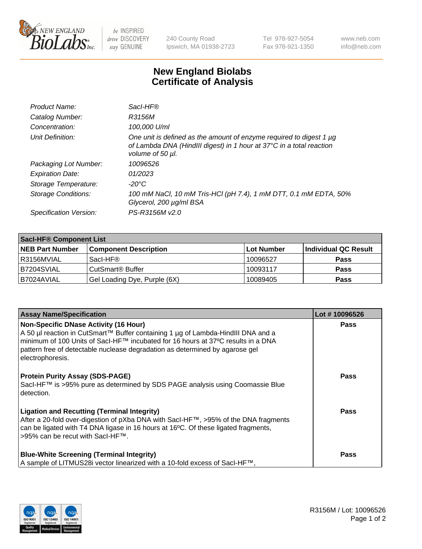

 $be$  INSPIRED drive DISCOVERY stay GENUINE

240 County Road Ipswich, MA 01938-2723 Tel 978-927-5054 Fax 978-921-1350 www.neb.com info@neb.com

## **New England Biolabs Certificate of Analysis**

| Product Name:           | Sacl-HF®                                                                                                                                                        |
|-------------------------|-----------------------------------------------------------------------------------------------------------------------------------------------------------------|
| Catalog Number:         | R3156M                                                                                                                                                          |
| Concentration:          | 100,000 U/ml                                                                                                                                                    |
| Unit Definition:        | One unit is defined as the amount of enzyme required to digest 1 µg<br>of Lambda DNA (HindIII digest) in 1 hour at 37°C in a total reaction<br>volume of 50 µl. |
| Packaging Lot Number:   | 10096526                                                                                                                                                        |
| <b>Expiration Date:</b> | 01/2023                                                                                                                                                         |
| Storage Temperature:    | $-20^{\circ}$ C                                                                                                                                                 |
| Storage Conditions:     | 100 mM NaCl, 10 mM Tris-HCl (pH 7.4), 1 mM DTT, 0.1 mM EDTA, 50%<br>Glycerol, 200 µg/ml BSA                                                                     |
| Specification Version:  | PS-R3156M v2.0                                                                                                                                                  |

| <b>Saci-HF® Component List</b> |                              |            |                      |  |  |
|--------------------------------|------------------------------|------------|----------------------|--|--|
| <b>NEB Part Number</b>         | <b>Component Description</b> | Lot Number | Individual QC Result |  |  |
| I R3156MVIAL                   | Sacl-HF®                     | 10096527   | <b>Pass</b>          |  |  |
| IB7204SVIAL                    | CutSmart <sup>®</sup> Buffer | 10093117   | <b>Pass</b>          |  |  |
| I B7024AVIAL                   | Gel Loading Dye, Purple (6X) | 10089405   | <b>Pass</b>          |  |  |

| <b>Assay Name/Specification</b>                                                                                                                                                                                                                                                                                       | Lot #10096526 |
|-----------------------------------------------------------------------------------------------------------------------------------------------------------------------------------------------------------------------------------------------------------------------------------------------------------------------|---------------|
| Non-Specific DNase Activity (16 Hour)<br>  A 50 µl reaction in CutSmart™ Buffer containing 1 µg of Lambda-HindIII DNA and a<br>l minimum of 100 Units of SacI-HF™ incubated for 16 hours at 37ºC results in a DNA<br>pattern free of detectable nuclease degradation as determined by agarose gel<br>electrophoresis. | <b>Pass</b>   |
| <b>Protein Purity Assay (SDS-PAGE)</b><br>SacI-HF™ is >95% pure as determined by SDS PAGE analysis using Coomassie Blue<br>l detection.                                                                                                                                                                               | <b>Pass</b>   |
| <b>Ligation and Recutting (Terminal Integrity)</b><br>After a 20-fold over-digestion of pXba DNA with SacI-HF™, >95% of the DNA fragments<br>can be ligated with T4 DNA ligase in 16 hours at 16 $^{\circ}$ C. Of these ligated fragments,<br>l >95% can be recut with Sacl-HF™.                                      | Pass          |
| <b>Blue-White Screening (Terminal Integrity)</b><br>  A sample of LITMUS28i vector linearized with a 10-fold excess of SacI-HF™,                                                                                                                                                                                      | Pass          |